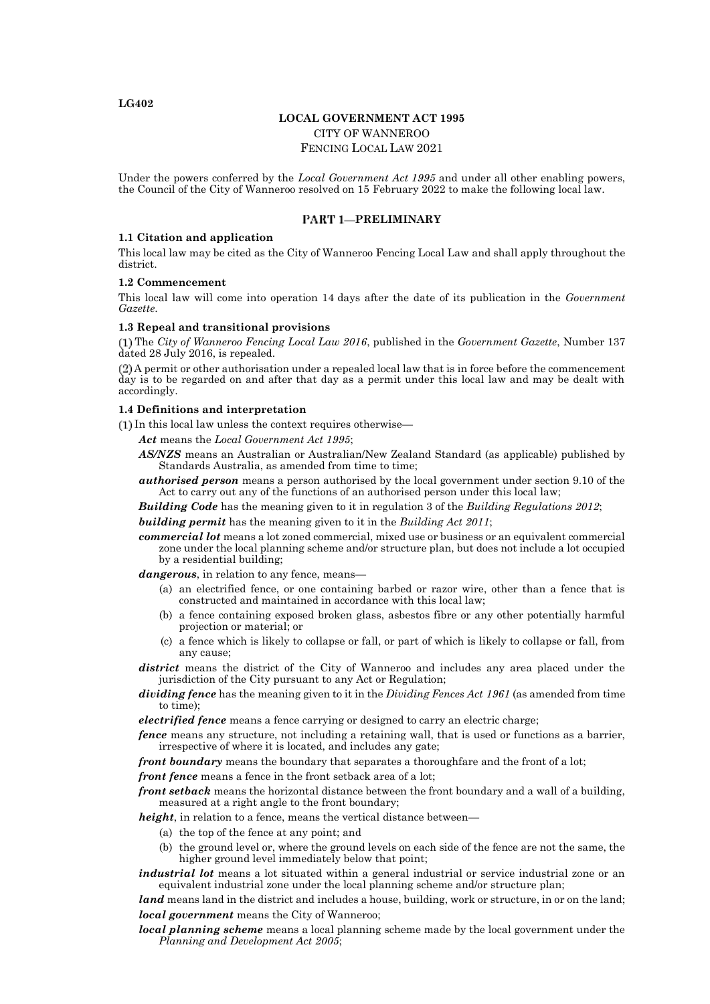**LG402**

## **LOCAL GOVERNMENT ACT 1995**

CITY OF WANNEROO

FENCING LOCAL LAW 2021

Under the powers conferred by the *Local Government Act 1995* and under all other enabling powers, the Council of the City of Wanneroo resolved on 15 February 2022 to make the following local law.

## **PRELIMINARY**

### **1.1 Citation and application**

This local law may be cited as the City of Wanneroo Fencing Local Law and shall apply throughout the district.

### **1.2 Commencement**

This local law will come into operation 14 days after the date of its publication in the *Government Gazette*.

### **1.3 Repeal and transitional provisions**

The *City of Wanneroo Fencing Local Law 2016*, published in the *Government Gazette*, Number 137 dated 28 July 2016, is repealed.

A permit or other authorisation under a repealed local law that is in force before the commencement day is to be regarded on and after that day as a permit under this local law and may be dealt with accordingly.

### **1.4 Definitions and interpretation**

In this local law unless the context requires otherwise—

*Act* means the *Local Government Act 1995*;

- *AS/NZS* means an Australian or Australian/New Zealand Standard (as applicable) published by Standards Australia, as amended from time to time;
- *authorised person* means a person authorised by the local government under section 9.10 of the Act to carry out any of the functions of an authorised person under this local law;

*Building Code* has the meaning given to it in regulation 3 of the *Building Regulations 2012*;

*building permit* has the meaning given to it in the *Building Act 2011*;

*commercial lot* means a lot zoned commercial, mixed use or business or an equivalent commercial zone under the local planning scheme and/or structure plan, but does not include a lot occupied by a residential building;

*dangerous*, in relation to any fence, means—

- (a) an electrified fence, or one containing barbed or razor wire, other than a fence that is constructed and maintained in accordance with this local law;
- (b) a fence containing exposed broken glass, asbestos fibre or any other potentially harmful projection or material; or
- (c) a fence which is likely to collapse or fall, or part of which is likely to collapse or fall, from any cause;

*district* means the district of the City of Wanneroo and includes any area placed under the jurisdiction of the City pursuant to any Act or Regulation;

*dividing fence* has the meaning given to it in the *Dividing Fences Act 1961* (as amended from time to time);

*electrified fence* means a fence carrying or designed to carry an electric charge;

*fence* means any structure, not including a retaining wall, that is used or functions as a barrier, irrespective of where it is located, and includes any gate;

*front boundary* means the boundary that separates a thoroughfare and the front of a lot;

*front fence* means a fence in the front setback area of a lot;

*front setback* means the horizontal distance between the front boundary and a wall of a building, measured at a right angle to the front boundary;

*height*, in relation to a fence, means the vertical distance between—

- (a) the top of the fence at any point; and
- (b) the ground level or, where the ground levels on each side of the fence are not the same, the higher ground level immediately below that point;

*industrial lot* means a lot situated within a general industrial or service industrial zone or an equivalent industrial zone under the local planning scheme and/or structure plan;

*land* means land in the district and includes a house, building, work or structure, in or on the land; *local government* means the City of Wanneroo;

*local planning scheme* means a local planning scheme made by the local government under the *Planning and Development Act 2005*;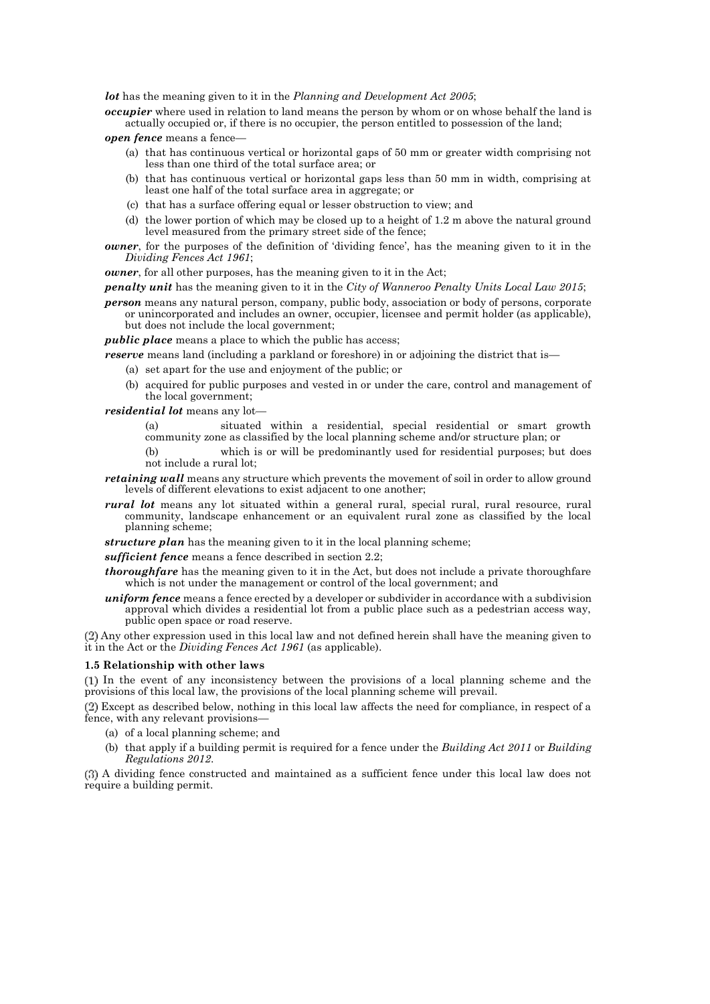*lot* has the meaning given to it in the *Planning and Development Act 2005*;

*occupier* where used in relation to land means the person by whom or on whose behalf the land is actually occupied or, if there is no occupier, the person entitled to possession of the land;

*open fence* means a fence—

- (a) that has continuous vertical or horizontal gaps of 50 mm or greater width comprising not less than one third of the total surface area; or
- (b) that has continuous vertical or horizontal gaps less than 50 mm in width, comprising at least one half of the total surface area in aggregate; or
- (c) that has a surface offering equal or lesser obstruction to view; and
- (d) the lower portion of which may be closed up to a height of 1.2 m above the natural ground level measured from the primary street side of the fence;
- *owner*, for the purposes of the definition of 'dividing fence', has the meaning given to it in the *Dividing Fences Act 1961*;

*owner*, for all other purposes, has the meaning given to it in the Act;

*penalty unit* has the meaning given to it in the *City of Wanneroo Penalty Units Local Law 2015*;

*person* means any natural person, company, public body, association or body of persons, corporate or unincorporated and includes an owner, occupier, licensee and permit holder (as applicable), but does not include the local government;

*public place* means a place to which the public has access;

- *reserve* means land (including a parkland or foreshore) in or adjoining the district that is—
	- (a) set apart for the use and enjoyment of the public; or
		- (b) acquired for public purposes and vested in or under the care, control and management of the local government;

*residential lot* means any lot—

- (a) situated within a residential, special residential or smart growth community zone as classified by the local planning scheme and/or structure plan; or
- (b) which is or will be predominantly used for residential purposes; but does not include a rural lot;
- *retaining wall* means any structure which prevents the movement of soil in order to allow ground levels of different elevations to exist adjacent to one another;
- *rural lot* means any lot situated within a general rural, special rural, rural resource, rural community, landscape enhancement or an equivalent rural zone as classified by the local planning scheme;
- *structure plan* has the meaning given to it in the local planning scheme;

*sufficient fence* means a fence described in section 2.2;

- *thoroughfare* has the meaning given to it in the Act, but does not include a private thoroughfare which is not under the management or control of the local government; and
- *uniform fence* means a fence erected by a developer or subdivider in accordance with a subdivision approval which divides a residential lot from a public place such as a pedestrian access way, public open space or road reserve.

Any other expression used in this local law and not defined herein shall have the meaning given to it in the Act or the *Dividing Fences Act 1961* (as applicable).

### **1.5 Relationship with other laws**

In the event of any inconsistency between the provisions of a local planning scheme and the provisions of this local law, the provisions of the local planning scheme will prevail.

Except as described below, nothing in this local law affects the need for compliance, in respect of a fence, with any relevant provisions—

- (a) of a local planning scheme; and
- (b) that apply if a building permit is required for a fence under the *Building Act 2011* or *Building Regulations 2012*.

A dividing fence constructed and maintained as a sufficient fence under this local law does not require a building permit.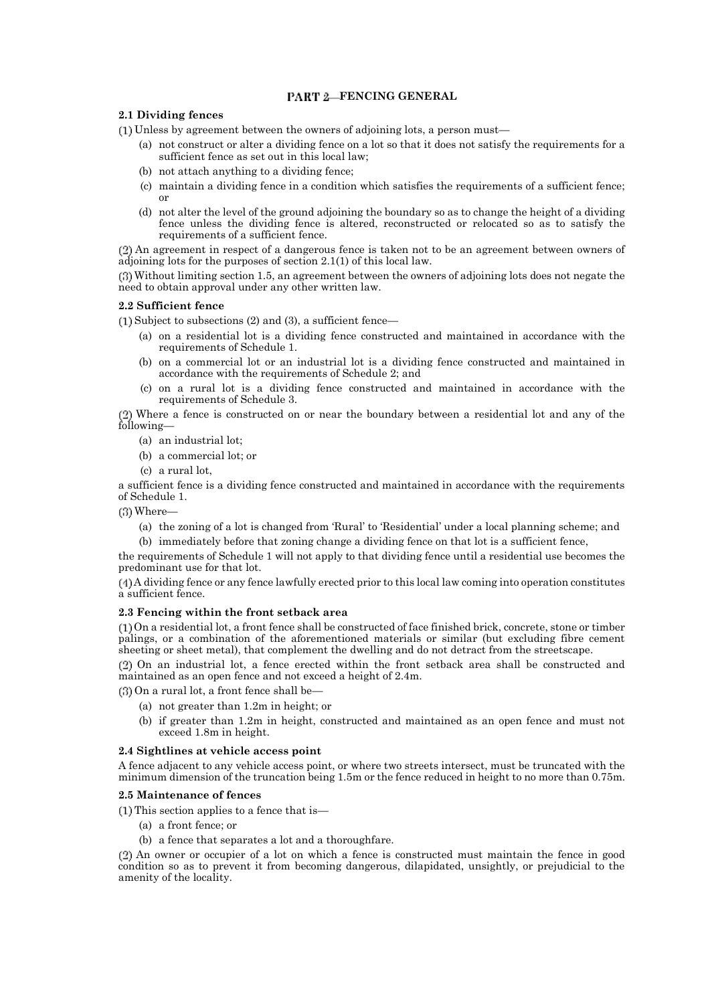## **FART 2-FENCING GENERAL**

## **2.1 Dividing fences**

Unless by agreement between the owners of adjoining lots, a person must—

- (a) not construct or alter a dividing fence on a lot so that it does not satisfy the requirements for a sufficient fence as set out in this local law;
- (b) not attach anything to a dividing fence;
- (c) maintain a dividing fence in a condition which satisfies the requirements of a sufficient fence; or
- (d) not alter the level of the ground adjoining the boundary so as to change the height of a dividing fence unless the dividing fence is altered, reconstructed or relocated so as to satisfy the requirements of a sufficient fence.

An agreement in respect of a dangerous fence is taken not to be an agreement between owners of adjoining lots for the purposes of section 2.1(1) of this local law.

Without limiting section 1.5, an agreement between the owners of adjoining lots does not negate the need to obtain approval under any other written law.

### **2.2 Sufficient fence**

 $(1)$  Subject to subsections  $(2)$  and  $(3)$ , a sufficient fence—

- (a) on a residential lot is a dividing fence constructed and maintained in accordance with the requirements of Schedule 1.
- (b) on a commercial lot or an industrial lot is a dividing fence constructed and maintained in accordance with the requirements of Schedule 2; and
- (c) on a rural lot is a dividing fence constructed and maintained in accordance with the requirements of Schedule 3.

Where a fence is constructed on or near the boundary between a residential lot and any of the following—

- (a) an industrial lot;
- (b) a commercial lot; or
- (c) a rural lot,

a sufficient fence is a dividing fence constructed and maintained in accordance with the requirements of Schedule 1.

- Where—
	- (a) the zoning of a lot is changed from 'Rural' to 'Residential' under a local planning scheme; and
	- (b) immediately before that zoning change a dividing fence on that lot is a sufficient fence,

the requirements of Schedule 1 will not apply to that dividing fence until a residential use becomes the predominant use for that lot.

A dividing fence or any fence lawfully erected prior to this local law coming into operation constitutes a sufficient fence.

### **2.3 Fencing within the front setback area**

On a residential lot, a front fence shall be constructed of face finished brick, concrete, stone or timber palings, or a combination of the aforementioned materials or similar (but excluding fibre cement sheeting or sheet metal), that complement the dwelling and do not detract from the streetscape.

On an industrial lot, a fence erected within the front setback area shall be constructed and maintained as an open fence and not exceed a height of 2.4m.

- $(3)$  On a rural lot, a front fence shall be—
	- (a) not greater than 1.2m in height; or
	- (b) if greater than 1.2m in height, constructed and maintained as an open fence and must not exceed 1.8m in height.

### **2.4 Sightlines at vehicle access point**

A fence adjacent to any vehicle access point, or where two streets intersect, must be truncated with the minimum dimension of the truncation being 1.5m or the fence reduced in height to no more than 0.75m.

### **2.5 Maintenance of fences**

 $(1)$  This section applies to a fence that is—

- (a) a front fence; or
- (b) a fence that separates a lot and a thoroughfare.

An owner or occupier of a lot on which a fence is constructed must maintain the fence in good condition so as to prevent it from becoming dangerous, dilapidated, unsightly, or prejudicial to the amenity of the locality.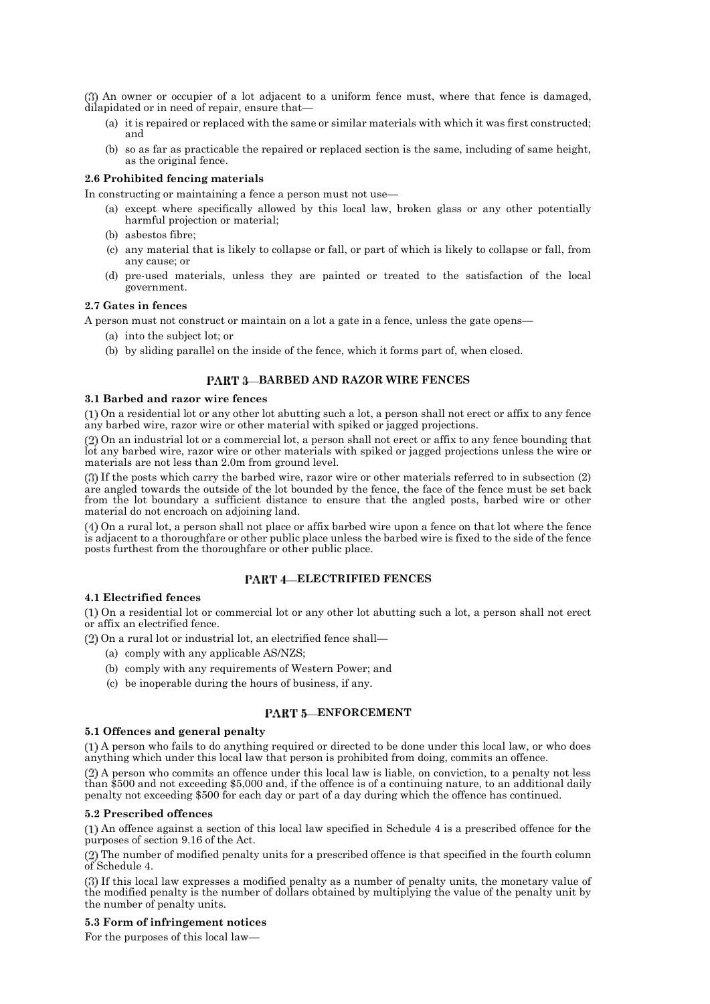An owner or occupier of a lot adjacent to a uniform fence must, where that fence is damaged, dilapidated or in need of repair, ensure that—

- (a) it is repaired or replaced with the same or similar materials with which it was first constructed; and
- (b) so as far as practicable the repaired or replaced section is the same, including of same height, as the original fence.

## **2.6 Prohibited fencing materials**

In constructing or maintaining a fence a person must not use—

- (a) except where specifically allowed by this local law, broken glass or any other potentially harmful projection or material;
- (b) asbestos fibre;
- (c) any material that is likely to collapse or fall, or part of which is likely to collapse or fall, from any cause; or
- (d) pre-used materials, unless they are painted or treated to the satisfaction of the local government.

## **2.7 Gates in fences**

A person must not construct or maintain on a lot a gate in a fence, unless the gate opens—

- (a) into the subject lot; or
- (b) by sliding parallel on the inside of the fence, which it forms part of, when closed.

## **BARBED AND RAZOR WIRE FENCES**

### **3.1 Barbed and razor wire fences**

On a residential lot or any other lot abutting such a lot, a person shall not erect or affix to any fence any barbed wire, razor wire or other material with spiked or jagged projections.

On an industrial lot or a commercial lot, a person shall not erect or affix to any fence bounding that lot any barbed wire, razor wire or other materials with spiked or jagged projections unless the wire or materials are not less than 2.0m from ground level.

If the posts which carry the barbed wire, razor wire or other materials referred to in subsection (2) are angled towards the outside of the lot bounded by the fence, the face of the fence must be set back from the lot boundary a sufficient distance to ensure that the angled posts, barbed wire or other material do not encroach on adjoining land.

On a rural lot, a person shall not place or affix barbed wire upon a fence on that lot where the fence is adjacent to a thoroughfare or other public place unless the barbed wire is fixed to the side of the fence posts furthest from the thoroughfare or other public place.

## **FART 4-ELECTRIFIED FENCES**

## **4.1 Electrified fences**

On a residential lot or commercial lot or any other lot abutting such a lot, a person shall not erect or affix an electrified fence.

 $(2)$  On a rural lot or industrial lot, an electrified fence shall—

- (a) comply with any applicable AS/NZS;
- (b) comply with any requirements of Western Power; and
- (c) be inoperable during the hours of business, if any.

## **PART 5-ENFORCEMENT**

## **5.1 Offences and general penalty**

A person who fails to do anything required or directed to be done under this local law, or who does anything which under this local law that person is prohibited from doing, commits an offence.

A person who commits an offence under this local law is liable, on conviction, to a penalty not less than \$500 and not exceeding \$5,000 and, if the offence is of a continuing nature, to an additional daily penalty not exceeding \$500 for each day or part of a day during which the offence has continued.

## **5.2 Prescribed offences**

An offence against a section of this local law specified in Schedule 4 is a prescribed offence for the purposes of section 9.16 of the Act.

The number of modified penalty units for a prescribed offence is that specified in the fourth column of Schedule 4.

If this local law expresses a modified penalty as a number of penalty units, the monetary value of the modified penalty is the number of dollars obtained by multiplying the value of the penalty unit by the number of penalty units.

## **5.3 Form of infringement notices**

For the purposes of this local law—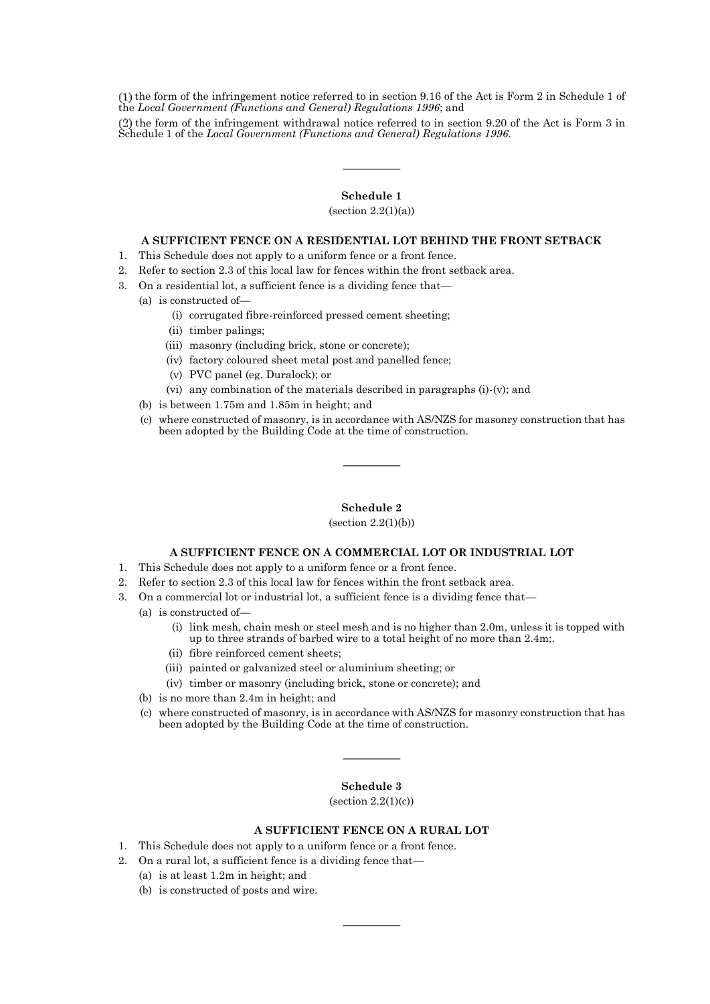$(1)$  the form of the infringement notice referred to in section 9.16 of the Act is Form 2 in Schedule 1 of the *Local Government (Functions and General) Regulations 1996*; and

the form of the infringement withdrawal notice referred to in section 9.20 of the Act is Form 3 in Schedule 1 of the *Local Government (Functions and General) Regulations 1996*.

## **Schedule 1**

————

 $(section 2.2(1)(a))$ 

## **A SUFFICIENT FENCE ON A RESIDENTIAL LOT BEHIND THE FRONT SETBACK**

- 1. This Schedule does not apply to a uniform fence or a front fence.
- 2. Refer to section 2.3 of this local law for fences within the front setback area.
- 3. On a residential lot, a sufficient fence is a dividing fence that—
	- (a) is constructed of—
		- (i) corrugated fibre-reinforced pressed cement sheeting;
		- (ii) timber palings;
		- (iii) masonry (including brick, stone or concrete);
		- (iv) factory coloured sheet metal post and panelled fence;
		- (v) PVC panel (eg. Duralock); or
		- (vi) any combination of the materials described in paragraphs (i)-(v); and
	- (b) is between 1.75m and 1.85m in height; and
	- (c) where constructed of masonry, is in accordance with AS/NZS for masonry construction that has been adopted by the Building Code at the time of construction.

### **Schedule 2**

————

 $(section 2.2(1)(b))$ 

#### **A SUFFICIENT FENCE ON A COMMERCIAL LOT OR INDUSTRIAL LOT**

- 1. This Schedule does not apply to a uniform fence or a front fence.
- 2. Refer to section 2.3 of this local law for fences within the front setback area.
- 3. On a commercial lot or industrial lot, a sufficient fence is a dividing fence that—
	- (a) is constructed of—
		- (i) link mesh, chain mesh or steel mesh and is no higher than 2.0m, unless it is topped with up to three strands of barbed wire to a total height of no more than 2.4m;.
		- (ii) fibre reinforced cement sheets;
		- (iii) painted or galvanized steel or aluminium sheeting; or
		- (iv) timber or masonry (including brick, stone or concrete); and
	- (b) is no more than 2.4m in height; and
	- (c) where constructed of masonry, is in accordance with AS/NZS for masonry construction that has been adopted by the Building Code at the time of construction.

## **Schedule 3**

————

(section  $2.2(1)(c)$ )

## **A SUFFICIENT FENCE ON A RURAL LOT**

————

- 1. This Schedule does not apply to a uniform fence or a front fence.
- 2. On a rural lot, a sufficient fence is a dividing fence that—
	- (a) is at least 1.2m in height; and
	- (b) is constructed of posts and wire.